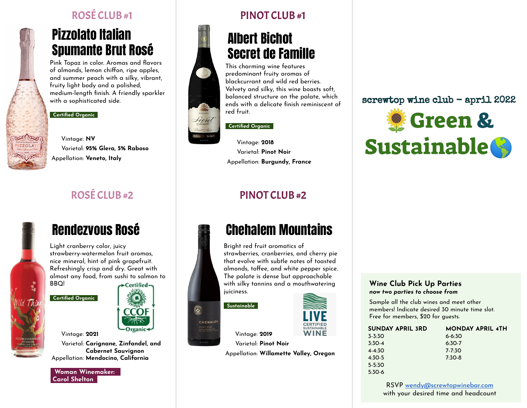## Pizzolato Italian Spumante Brut Rosé

Pink Topaz in color. Aromas and flavors of almonds, lemon chiffon, ripe apples, and summer peach with a silky, vibrant, fruity light body and a polished, medium-length finish. A friendly sparkler with a sophisticated side.

### **Certified Organic\_**



Vintage: **NV** Varietal: **95% Glera, 5% Raboso** Appellation: **Veneto, Italy**



## Rendezvous Rosé

Light cranberry color, juicy strawberry-watermelon fruit aromas, nice mineral, hint of pink grapefruit. Refreshingly crisp and dry. Great with almost any food, from sushi to salmon to **BBO** 

 **Certified Organic\_**



Vintage: **2021** Varietal: **Carignane, Zinfandel, and Cabernet Sauvignon** Appellation: **Mendocino, California**

**\_Woman Winemaker: \_ Carol Shelton\_**



## Albert Bichot Secret de Famille

This charming wine features predominant fruity aromas of blackcurrant and wild red berries. Velvety and silky, this wine boasts soft, balanced structure on the palate, which ends with a delicate finish reminiscent of red fruit.

### **Certified Organic\_**



Lecret

 $\circledS$ 

CHEHALEM

Vintage: **2018** Varietal: **Pinot Noir** Appellation: **Burgundy, France**

## ROSÉ CLUB #2 PINOT CLUB #2

## Chehalem Mountains

Bright red fruit aromatics of strawberries, cranberries, and cherry pie that evolve with subtle notes of toasted almonds, toffee, and white pepper spice. The palate is dense but approachable with silky tannins and a mouthwatering juiciness.

### **Sustainable\_**



Vintage: **2019**

Varietal: **Pinot Noir** Appellation: **Willamette Valley, Oregon**

### screwtop wine club - april 2022



### **Wine Club Pick Up Parties** *now two parties to choose from*

Sample all the club wines and meet other members! Indicate desired 30 minute time slot. Free for members, \$20 for guests.

| <b>SUNDAY APRIL 3RD</b> | <b>MONDAY APRIL 4TH</b> |
|-------------------------|-------------------------|
| $3 - 3:30$              | $6 - 6:30$              |
| $3:30-4$                | $6:30-7$                |
| $4 - 4.30$              | 7.7.30                  |
| $4:30-5$                | $7:30-8$                |
| $5 - 5:30$              |                         |
| $5:30-6$                |                         |

RSVP [wendy@screwtopwinebar.com](mailto:wendy@screwtopwinebar.com) with your desired time and headcount